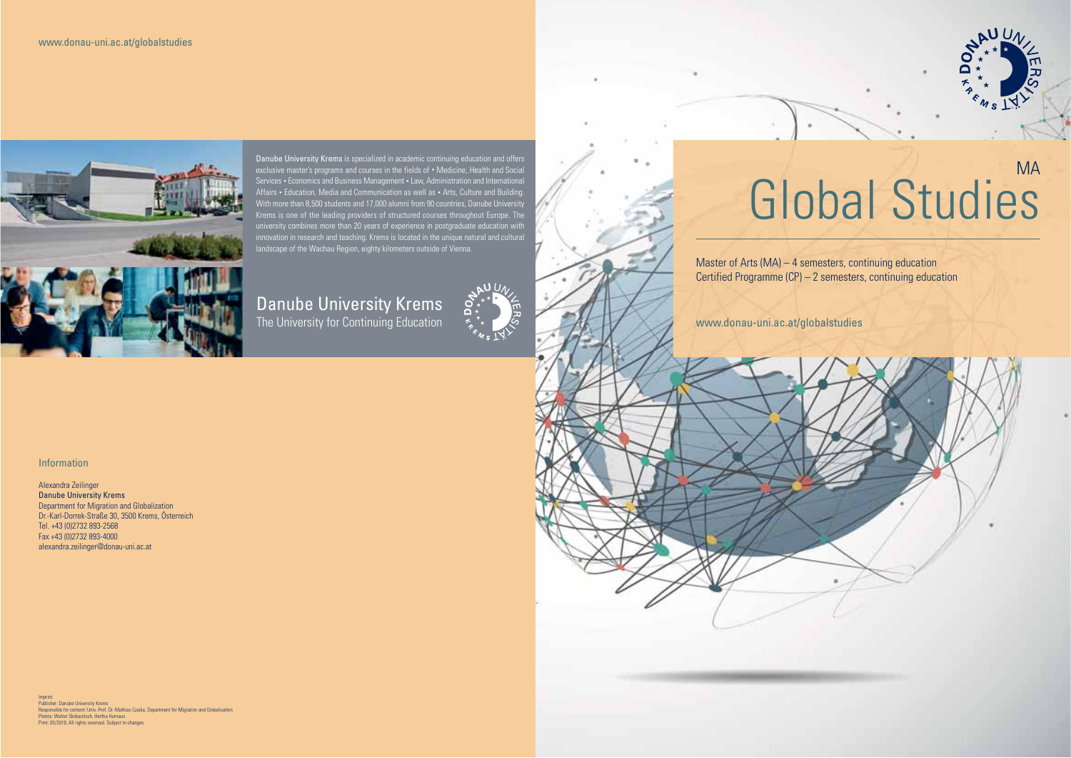

Danube University Krems is specialized in academic continuing education and offers exclusive master's programs and courses in the fields of • Medicine, Health and Social Services • Economics and Business Management • Law, Administration and International Affairs • Education, Media and Communication as well as • Arts, Culture and Building. With more than 8,500 students and 17,000 alumni from 90 countries, Danube University Krems is one of the leading providers of structured courses throughout Europe. The university combines more than 20 years of experience in postgraduate education with innovation in research and teaching. Krems is located in the unique natural and cultural landscape of the Wachau Region, eighty kilometers outside of Vienna.

# Danube University Krems The University for Continuing Education



# MAGlobal Studies

고

Master of Arts (MA) – 4 semesters, continuing education Certified Programme (CP) – 2 semesters, continuing education

www.donau-uni.ac.at/globalstudies

# Information

Alexandra Zeilinger Danube University Krems Department for Migration and Globalization Dr.-Karl-Dorrek-Straße 30, 3500 Krems, Österreich Tel. +43 (0)2732 893-2568 Fax +43 (0)2732 893-4000 alexandra.zeilinger@donau-uni.ac.at

Imprint Publisher: Danube University Krems Responsible for content: Univ.-Prof. Dr. Mathias Czaika, Department for Migration and Globalisation Photos: Walter Skokanitsch, Hertha Hurnaus Print: 03/2019; All rights reserved. Subject to changes.